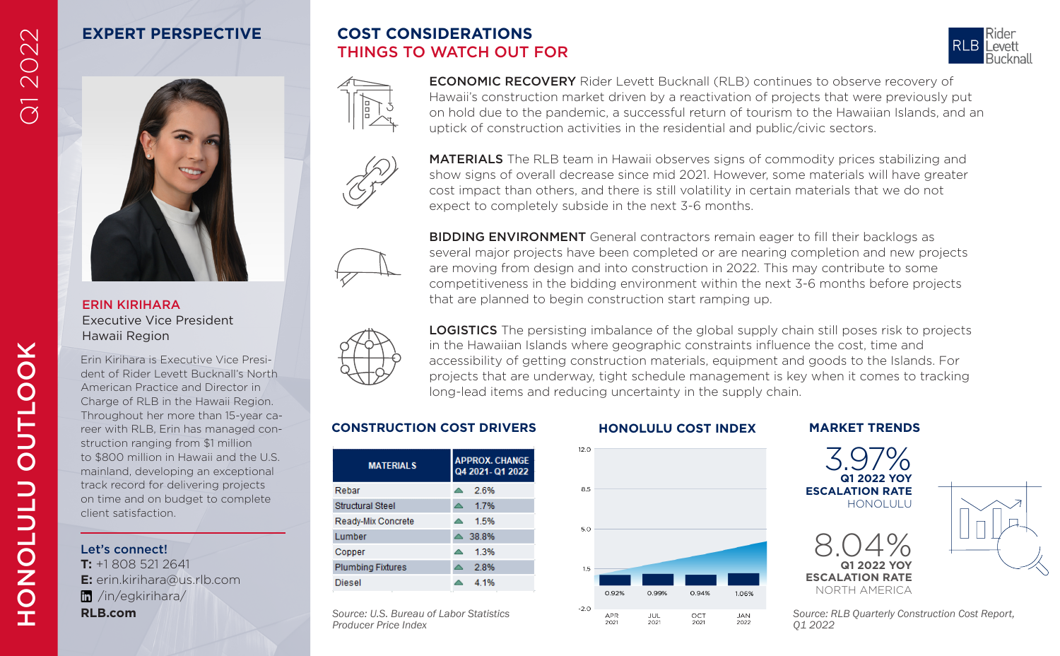# **EXPERT PERSPECTIVE**

# **COST CONSIDERATIONS** THINGS TO WATCH OUT FOR





ECONOMIC RECOVERY Rider Levett Bucknall (RLB) continues to observe recovery of Hawaii's construction market driven by a reactivation of projects that were previously put on hold due to the pandemic, a successful return of tourism to the Hawaiian Islands, and an uptick of construction activities in the residential and public/civic sectors.



MATERIALS The RLB team in Hawaii observes signs of commodity prices stabilizing and show signs of overall decrease since mid 2021. However, some materials will have greater cost impact than others, and there is still volatility in certain materials that we do not expect to completely subside in the next 3-6 months.



BIDDING ENVIRONMENT General contractors remain eager to fill their backlogs as several major projects have been completed or are nearing completion and new projects are moving from design and into construction in 2022. This may contribute to some competitiveness in the bidding environment within the next 3-6 months before projects that are planned to begin construction start ramping up.



LOGISTICS The persisting imbalance of the global supply chain still poses risk to projects in the Hawaiian Islands where geographic constraints influence the cost, time and accessibility of getting construction materials, equipment and goods to the Islands. For projects that are underway, tight schedule management is key when it comes to tracking long-lead items and reducing uncertainty in the supply chain.

#### **CONSTRUCTION COST DRIVERS HONOLULU COST INDEX MARKET TRENDS**

| <b>MATERIALS</b>         | <b>APPROX. CHANGE</b><br>Q4 2021-Q1 2022 |
|--------------------------|------------------------------------------|
| Rebar                    | 26%                                      |
| <b>Structural Steel</b>  | 17%                                      |
| Ready-Mix Concrete       | 1.5%<br>$\blacktriangle$                 |
| <b>Lumber</b>            | 38.8%                                    |
| Copper                   | 1.3%                                     |
| <b>Plumbing Fixtures</b> | 2.8%                                     |
| Diesel                   | 4 1%                                     |

#### *Source: U.S. Bureau of Labor Statistics Producer Price Index*







*Source: RLB Quarterly Construction Cost Report,* 

Q1 2022

#### ERIN KIRIHARA Executive Vice President Hawaii Region

Frin Kirihara is Executive Vice Presi-<br>
accessibility of getting construction materials, equipment and good<br>
American Practice and Director in<br>
Chrarge of RLB in the Hawaii Region.<br>
Chrarge of RLB in the Hawaii Region.<br> Erin Kirihara is Executive Vice President of Rider Levett Bucknall's North American Practice and Director in Charge of RLB in the Hawaii Region. Throughout her more than 15-year career with RLB, Erin has managed construction ranging from \$1 million to \$800 million in Hawaii and the U.S. mainland, developing an exceptional track record for delivering projects on time and on budget to complete client satisfaction.

### Let's connect!

**T:** +1 808 521 2641 **E:** erin.kirihara@us.rlb.com /in/egkirihara/ **RLB.com**